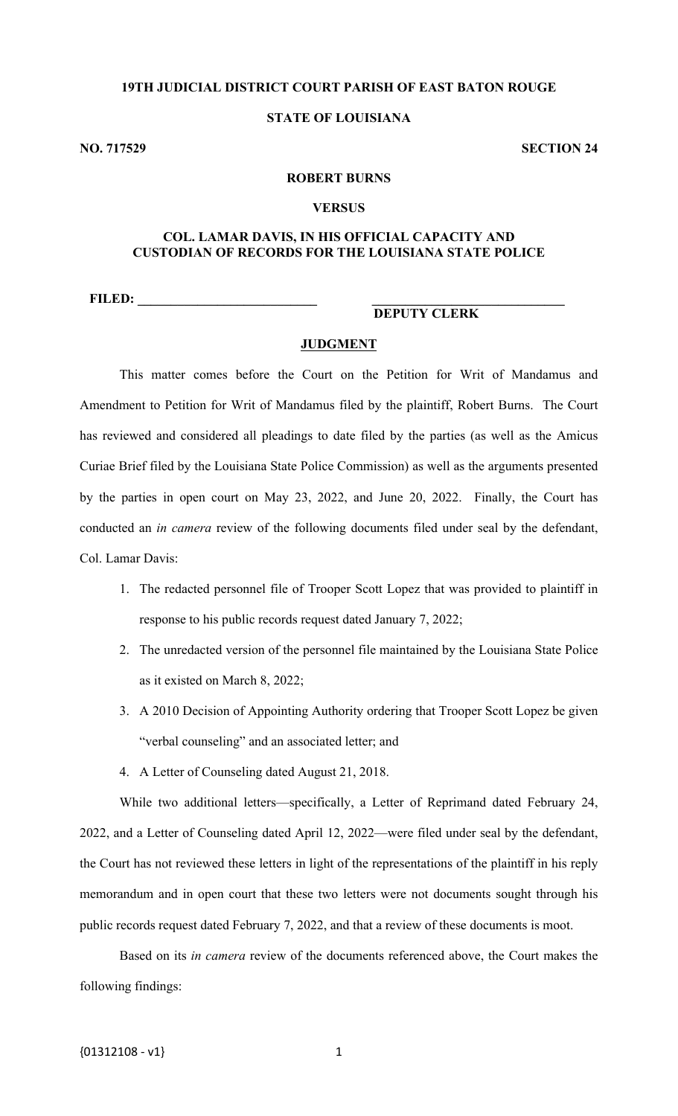### **19TH JUDICIAL DISTRICT COURT PARISH OF EAST BATON ROUGE**

# **STATE OF LOUISIANA**

**NO. 717529 SECTION 24** 

#### **ROBERT BURNS**

#### **VERSUS**

### **COL. LAMAR DAVIS, IN HIS OFFICIAL CAPACITY AND CUSTODIAN OF RECORDS FOR THE LOUISIANA STATE POLICE**

**FILED: \_\_\_\_\_\_\_\_\_\_\_\_\_\_\_\_\_\_\_\_\_\_\_\_\_\_\_ \_\_\_\_\_\_\_\_\_\_\_\_\_\_\_\_\_\_\_\_\_\_\_\_\_\_\_\_\_** 

# **DEPUTY CLERK**

#### **JUDGMENT**

This matter comes before the Court on the Petition for Writ of Mandamus and Amendment to Petition for Writ of Mandamus filed by the plaintiff, Robert Burns. The Court has reviewed and considered all pleadings to date filed by the parties (as well as the Amicus Curiae Brief filed by the Louisiana State Police Commission) as well as the arguments presented by the parties in open court on May 23, 2022, and June 20, 2022. Finally, the Court has conducted an *in camera* review of the following documents filed under seal by the defendant, Col. Lamar Davis:

- 1. The redacted personnel file of Trooper Scott Lopez that was provided to plaintiff in response to his public records request dated January 7, 2022;
- 2. The unredacted version of the personnel file maintained by the Louisiana State Police as it existed on March 8, 2022;
- 3. A 2010 Decision of Appointing Authority ordering that Trooper Scott Lopez be given "verbal counseling" and an associated letter; and
- 4. A Letter of Counseling dated August 21, 2018.

While two additional letters—specifically, a Letter of Reprimand dated February 24, 2022, and a Letter of Counseling dated April 12, 2022—were filed under seal by the defendant, the Court has not reviewed these letters in light of the representations of the plaintiff in his reply memorandum and in open court that these two letters were not documents sought through his public records request dated February 7, 2022, and that a review of these documents is moot.

Based on its *in camera* review of the documents referenced above, the Court makes the following findings: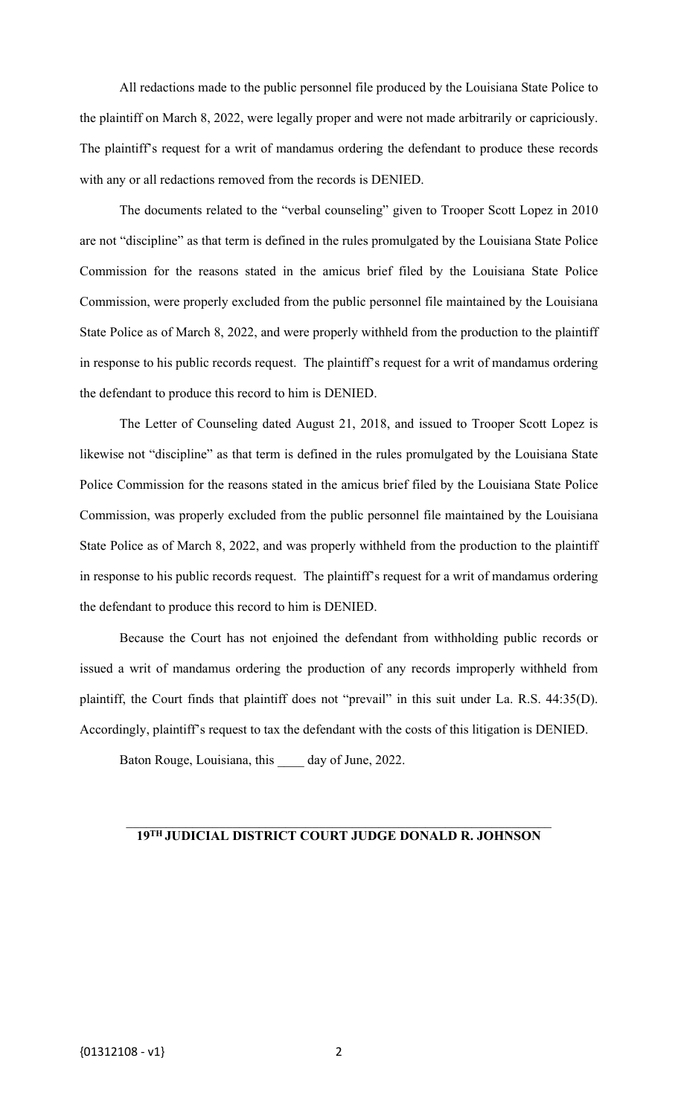All redactions made to the public personnel file produced by the Louisiana State Police to the plaintiff on March 8, 2022, were legally proper and were not made arbitrarily or capriciously. The plaintiff's request for a writ of mandamus ordering the defendant to produce these records with any or all redactions removed from the records is DENIED.

The documents related to the "verbal counseling" given to Trooper Scott Lopez in 2010 are not "discipline" as that term is defined in the rules promulgated by the Louisiana State Police Commission for the reasons stated in the amicus brief filed by the Louisiana State Police Commission, were properly excluded from the public personnel file maintained by the Louisiana State Police as of March 8, 2022, and were properly withheld from the production to the plaintiff in response to his public records request. The plaintiff's request for a writ of mandamus ordering the defendant to produce this record to him is DENIED.

The Letter of Counseling dated August 21, 2018, and issued to Trooper Scott Lopez is likewise not "discipline" as that term is defined in the rules promulgated by the Louisiana State Police Commission for the reasons stated in the amicus brief filed by the Louisiana State Police Commission, was properly excluded from the public personnel file maintained by the Louisiana State Police as of March 8, 2022, and was properly withheld from the production to the plaintiff in response to his public records request. The plaintiff's request for a writ of mandamus ordering the defendant to produce this record to him is DENIED.

Because the Court has not enjoined the defendant from withholding public records or issued a writ of mandamus ordering the production of any records improperly withheld from plaintiff, the Court finds that plaintiff does not "prevail" in this suit under La. R.S. 44:35(D). Accordingly, plaintiff's request to tax the defendant with the costs of this litigation is DENIED.

Baton Rouge, Louisiana, this \_\_\_\_ day of June, 2022.

#### **19TH JUDICIAL DISTRICT COURT JUDGE DONALD R. JOHNSON**